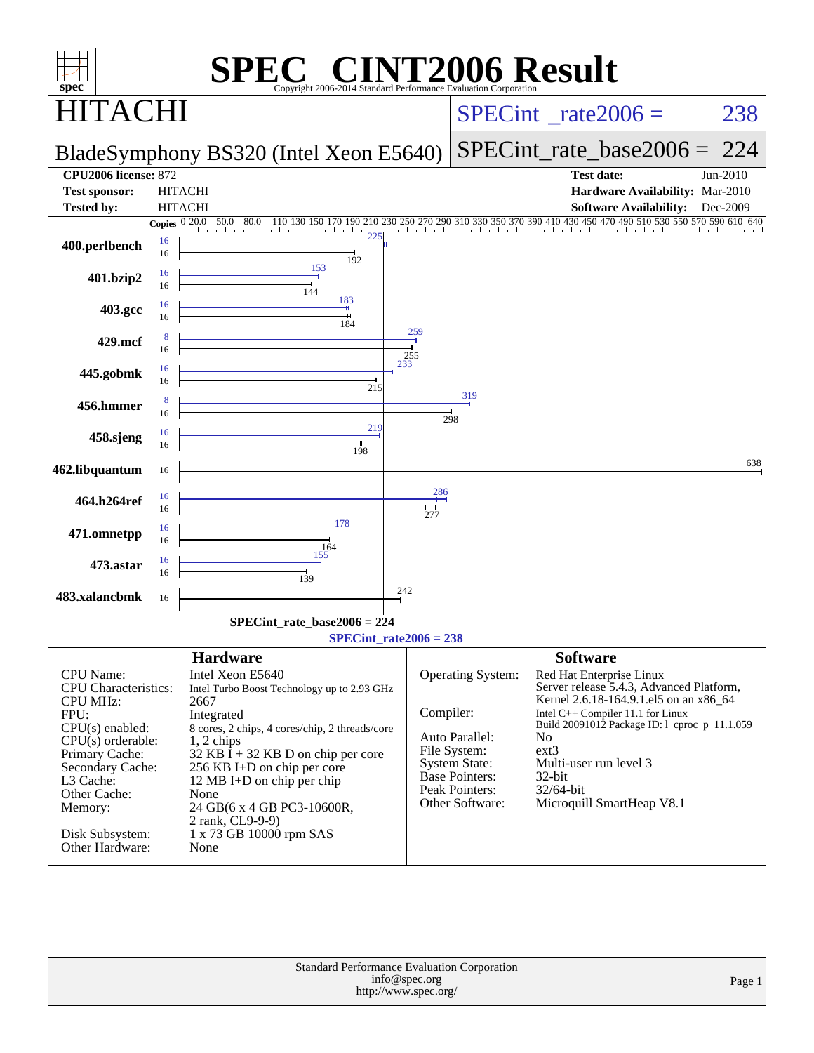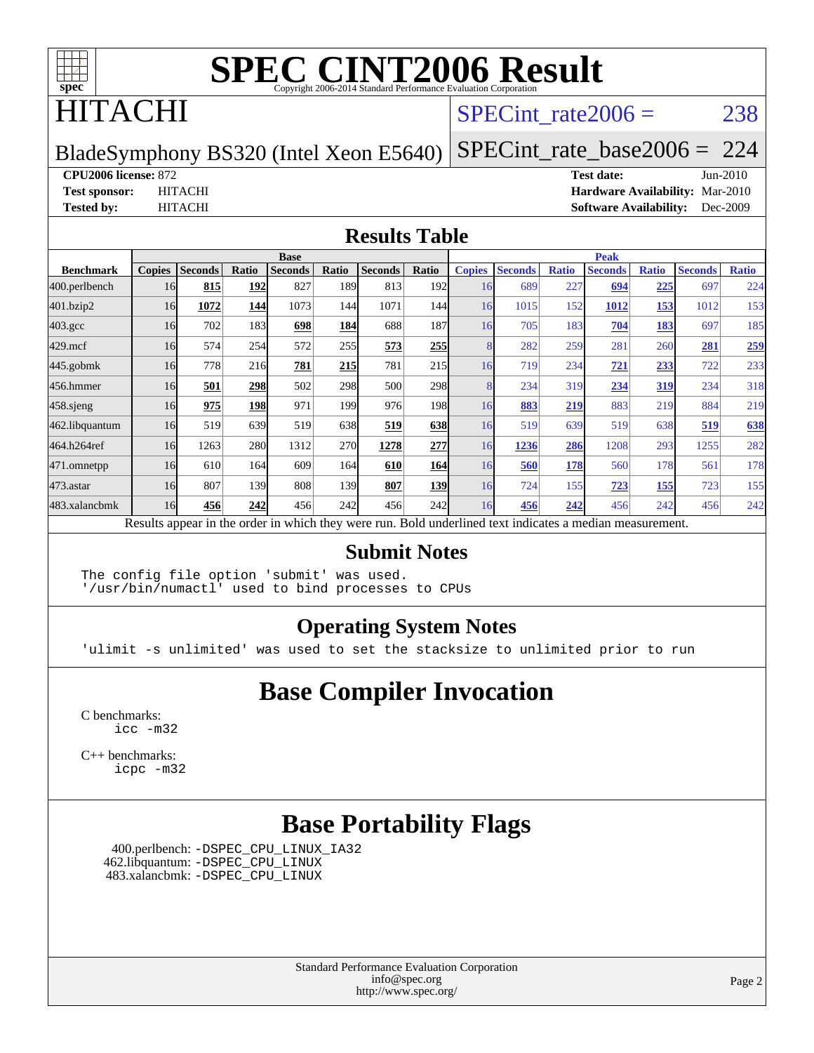

### HITACHI

#### SPECint rate $2006 = 238$

#### BladeSymphony BS320 (Intel Xeon E5640)

[SPECint\\_rate\\_base2006 =](http://www.spec.org/auto/cpu2006/Docs/result-fields.html#SPECintratebase2006) 224

**[CPU2006 license:](http://www.spec.org/auto/cpu2006/Docs/result-fields.html#CPU2006license)** 872 **[Test date:](http://www.spec.org/auto/cpu2006/Docs/result-fields.html#Testdate)** Jun-2010

**[Test sponsor:](http://www.spec.org/auto/cpu2006/Docs/result-fields.html#Testsponsor)** HITACHI **[Hardware Availability:](http://www.spec.org/auto/cpu2006/Docs/result-fields.html#HardwareAvailability)** Mar-2010 **[Tested by:](http://www.spec.org/auto/cpu2006/Docs/result-fields.html#Testedby)** HITACHI **[Software Availability:](http://www.spec.org/auto/cpu2006/Docs/result-fields.html#SoftwareAvailability)** Dec-2009

#### **[Results Table](http://www.spec.org/auto/cpu2006/Docs/result-fields.html#ResultsTable)**

|                    | <b>Base</b>   |                |            |                |            |                |                  | <b>Peak</b>   |                |              |                                                                                                          |              |                |              |
|--------------------|---------------|----------------|------------|----------------|------------|----------------|------------------|---------------|----------------|--------------|----------------------------------------------------------------------------------------------------------|--------------|----------------|--------------|
| <b>Benchmark</b>   | <b>Copies</b> | <b>Seconds</b> | Ratio      | <b>Seconds</b> | Ratio      | <b>Seconds</b> | Ratio            | <b>Copies</b> | <b>Seconds</b> | <b>Ratio</b> | <b>Seconds</b>                                                                                           | <b>Ratio</b> | <b>Seconds</b> | <b>Ratio</b> |
| 400.perlbench      | 16            | 815            | <b>192</b> | 827            | 189I       | 813            | 192l             | 16            | 689            | 227          | 694                                                                                                      | <u>225</u>   | 697            | 224          |
| 401.bzip2          | 16            | 1072           | 144        | 1073           | 144        | 1071           | 144              | 16            | 1015           | 152          | 1012                                                                                                     | 153          | 1012           | 153          |
| $403.\mathrm{gcc}$ | 16            | 702            | 183        | 698            | 184        | 688            | 187              | 16            | 705            | 183          | 704                                                                                                      | 183          | 697            | 185          |
| $429$ .mcf         | 16            | 574            | 254        | 572            | 255        | 573            | 255              |               | 282            | 259          | 281                                                                                                      | 260          | 281            | 259          |
| $445$ .gobmk       | 16            | 778            | 216        | <b>781</b>     | 215        | 781            | 215              | 16            | 719            | 234          | <b>721</b>                                                                                               | 233          | 722            | 233          |
| 456.hmmer          | 16            | 501            | 298        | 502            | 298        | 500            | <b>298</b>       |               | 234            | 319          | 234                                                                                                      | 319          | 234            | 318          |
| $458$ .sjeng       | 16            | 975            | 198        | 971            | 1991       | 976            | 198 <sup>1</sup> | 16            | 883            | 219          | 883                                                                                                      | 219          | 884            | 219          |
| 462.libquantum     | 16            | 519            | 639        | 519            | 638        | 519            | 638              | 16            | 519            | 639          | 519                                                                                                      | 638          | 519            | 638          |
| 464.h264ref        | 16            | 1263           | 280        | 1312           | <b>270</b> | 1278           | 277              | 16            | 1236           | 286          | 1208                                                                                                     | 293          | 1255           | 282          |
| 471.omnetpp        | 16            | 610            | 164        | 609            | 164        | 610            | 164              | 16            | 560            | 178          | 560                                                                                                      | 178          | 561            | 178          |
| 473.astar          | 16            | 807            | 139        | 808            | 139        | 807            | 139              | 16            | 724            | 155          | 723                                                                                                      | 155          | 723            | 155          |
| 483.xalancbmk      | 16            | 456            | 242        | 456            | 242        | 456            | 242              | 16            | 456            | 242          | 456                                                                                                      | 242          | 456            | 242          |
|                    |               |                |            |                |            |                |                  |               |                |              | Results appear in the order in which they were run. Bold underlined text indicates a median measurement. |              |                |              |

#### **[Submit Notes](http://www.spec.org/auto/cpu2006/Docs/result-fields.html#SubmitNotes)**

The config file option 'submit' was used. '/usr/bin/numactl' used to bind processes to CPUs

#### **[Operating System Notes](http://www.spec.org/auto/cpu2006/Docs/result-fields.html#OperatingSystemNotes)**

'ulimit -s unlimited' was used to set the stacksize to unlimited prior to run

#### **[Base Compiler Invocation](http://www.spec.org/auto/cpu2006/Docs/result-fields.html#BaseCompilerInvocation)**

[C benchmarks](http://www.spec.org/auto/cpu2006/Docs/result-fields.html#Cbenchmarks): [icc -m32](http://www.spec.org/cpu2006/results/res2010q3/cpu2006-20100914-13308.flags.html#user_CCbase_intel_icc_32bit_a6a621f8d50482236b970c6ac5f55f93)

[C++ benchmarks:](http://www.spec.org/auto/cpu2006/Docs/result-fields.html#CXXbenchmarks) [icpc -m32](http://www.spec.org/cpu2006/results/res2010q3/cpu2006-20100914-13308.flags.html#user_CXXbase_intel_icpc_32bit_4e5a5ef1a53fd332b3c49e69c3330699)

#### **[Base Portability Flags](http://www.spec.org/auto/cpu2006/Docs/result-fields.html#BasePortabilityFlags)**

 400.perlbench: [-DSPEC\\_CPU\\_LINUX\\_IA32](http://www.spec.org/cpu2006/results/res2010q3/cpu2006-20100914-13308.flags.html#b400.perlbench_baseCPORTABILITY_DSPEC_CPU_LINUX_IA32) 462.libquantum: [-DSPEC\\_CPU\\_LINUX](http://www.spec.org/cpu2006/results/res2010q3/cpu2006-20100914-13308.flags.html#b462.libquantum_baseCPORTABILITY_DSPEC_CPU_LINUX) 483.xalancbmk: [-DSPEC\\_CPU\\_LINUX](http://www.spec.org/cpu2006/results/res2010q3/cpu2006-20100914-13308.flags.html#b483.xalancbmk_baseCXXPORTABILITY_DSPEC_CPU_LINUX)

> Standard Performance Evaluation Corporation [info@spec.org](mailto:info@spec.org) <http://www.spec.org/>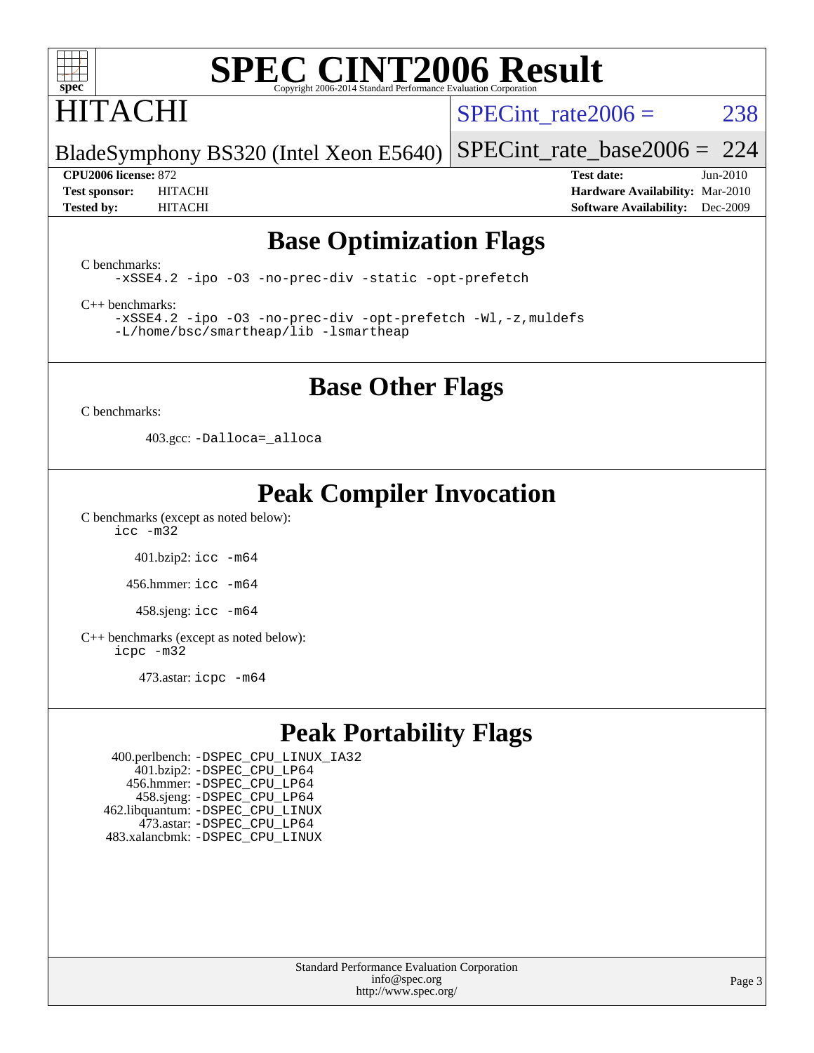

## HITACHI

SPECint rate $2006 = 238$ 

BladeSymphony BS320 (Intel Xeon E5640) [SPECint\\_rate\\_base2006 =](http://www.spec.org/auto/cpu2006/Docs/result-fields.html#SPECintratebase2006) 224

**[CPU2006 license:](http://www.spec.org/auto/cpu2006/Docs/result-fields.html#CPU2006license)** 872 **[Test date:](http://www.spec.org/auto/cpu2006/Docs/result-fields.html#Testdate)** Jun-2010 **[Test sponsor:](http://www.spec.org/auto/cpu2006/Docs/result-fields.html#Testsponsor)** HITACHI **[Hardware Availability:](http://www.spec.org/auto/cpu2006/Docs/result-fields.html#HardwareAvailability)** Mar-2010 **[Tested by:](http://www.spec.org/auto/cpu2006/Docs/result-fields.html#Testedby)** HITACHI **[Software Availability:](http://www.spec.org/auto/cpu2006/Docs/result-fields.html#SoftwareAvailability)** Dec-2009

#### **[Base Optimization Flags](http://www.spec.org/auto/cpu2006/Docs/result-fields.html#BaseOptimizationFlags)**

[C benchmarks](http://www.spec.org/auto/cpu2006/Docs/result-fields.html#Cbenchmarks):

[-xSSE4.2](http://www.spec.org/cpu2006/results/res2010q3/cpu2006-20100914-13308.flags.html#user_CCbase_f-xSSE42_f91528193cf0b216347adb8b939d4107) [-ipo](http://www.spec.org/cpu2006/results/res2010q3/cpu2006-20100914-13308.flags.html#user_CCbase_f-ipo) [-O3](http://www.spec.org/cpu2006/results/res2010q3/cpu2006-20100914-13308.flags.html#user_CCbase_f-O3) [-no-prec-div](http://www.spec.org/cpu2006/results/res2010q3/cpu2006-20100914-13308.flags.html#user_CCbase_f-no-prec-div) [-static](http://www.spec.org/cpu2006/results/res2010q3/cpu2006-20100914-13308.flags.html#user_CCbase_f-static) [-opt-prefetch](http://www.spec.org/cpu2006/results/res2010q3/cpu2006-20100914-13308.flags.html#user_CCbase_f-opt-prefetch)

[C++ benchmarks:](http://www.spec.org/auto/cpu2006/Docs/result-fields.html#CXXbenchmarks)

[-xSSE4.2](http://www.spec.org/cpu2006/results/res2010q3/cpu2006-20100914-13308.flags.html#user_CXXbase_f-xSSE42_f91528193cf0b216347adb8b939d4107) [-ipo](http://www.spec.org/cpu2006/results/res2010q3/cpu2006-20100914-13308.flags.html#user_CXXbase_f-ipo) [-O3](http://www.spec.org/cpu2006/results/res2010q3/cpu2006-20100914-13308.flags.html#user_CXXbase_f-O3) [-no-prec-div](http://www.spec.org/cpu2006/results/res2010q3/cpu2006-20100914-13308.flags.html#user_CXXbase_f-no-prec-div) [-opt-prefetch](http://www.spec.org/cpu2006/results/res2010q3/cpu2006-20100914-13308.flags.html#user_CXXbase_f-opt-prefetch) [-Wl,-z,muldefs](http://www.spec.org/cpu2006/results/res2010q3/cpu2006-20100914-13308.flags.html#user_CXXbase_link_force_multiple1_74079c344b956b9658436fd1b6dd3a8a) [-L/home/bsc/smartheap/lib -lsmartheap](http://www.spec.org/cpu2006/results/res2010q3/cpu2006-20100914-13308.flags.html#user_CXXbase_SmartHeap_9f0954739f7704b2e81d8beae675b87f)

#### **[Base Other Flags](http://www.spec.org/auto/cpu2006/Docs/result-fields.html#BaseOtherFlags)**

[C benchmarks](http://www.spec.org/auto/cpu2006/Docs/result-fields.html#Cbenchmarks):

403.gcc: [-Dalloca=\\_alloca](http://www.spec.org/cpu2006/results/res2010q3/cpu2006-20100914-13308.flags.html#b403.gcc_baseEXTRA_CFLAGS_Dalloca_be3056838c12de2578596ca5467af7f3)

### **[Peak Compiler Invocation](http://www.spec.org/auto/cpu2006/Docs/result-fields.html#PeakCompilerInvocation)**

[C benchmarks \(except as noted below\)](http://www.spec.org/auto/cpu2006/Docs/result-fields.html#Cbenchmarksexceptasnotedbelow):

[icc -m32](http://www.spec.org/cpu2006/results/res2010q3/cpu2006-20100914-13308.flags.html#user_CCpeak_intel_icc_32bit_a6a621f8d50482236b970c6ac5f55f93)

401.bzip2: [icc -m64](http://www.spec.org/cpu2006/results/res2010q3/cpu2006-20100914-13308.flags.html#user_peakCCLD401_bzip2_intel_icc_64bit_bda6cc9af1fdbb0edc3795bac97ada53)

456.hmmer: [icc -m64](http://www.spec.org/cpu2006/results/res2010q3/cpu2006-20100914-13308.flags.html#user_peakCCLD456_hmmer_intel_icc_64bit_bda6cc9af1fdbb0edc3795bac97ada53)

458.sjeng: [icc -m64](http://www.spec.org/cpu2006/results/res2010q3/cpu2006-20100914-13308.flags.html#user_peakCCLD458_sjeng_intel_icc_64bit_bda6cc9af1fdbb0edc3795bac97ada53)

[C++ benchmarks \(except as noted below\):](http://www.spec.org/auto/cpu2006/Docs/result-fields.html#CXXbenchmarksexceptasnotedbelow) [icpc -m32](http://www.spec.org/cpu2006/results/res2010q3/cpu2006-20100914-13308.flags.html#user_CXXpeak_intel_icpc_32bit_4e5a5ef1a53fd332b3c49e69c3330699)

473.astar: [icpc -m64](http://www.spec.org/cpu2006/results/res2010q3/cpu2006-20100914-13308.flags.html#user_peakCXXLD473_astar_intel_icpc_64bit_fc66a5337ce925472a5c54ad6a0de310)

### **[Peak Portability Flags](http://www.spec.org/auto/cpu2006/Docs/result-fields.html#PeakPortabilityFlags)**

 400.perlbench: [-DSPEC\\_CPU\\_LINUX\\_IA32](http://www.spec.org/cpu2006/results/res2010q3/cpu2006-20100914-13308.flags.html#b400.perlbench_peakCPORTABILITY_DSPEC_CPU_LINUX_IA32) 401.bzip2: [-DSPEC\\_CPU\\_LP64](http://www.spec.org/cpu2006/results/res2010q3/cpu2006-20100914-13308.flags.html#suite_peakCPORTABILITY401_bzip2_DSPEC_CPU_LP64) 456.hmmer: [-DSPEC\\_CPU\\_LP64](http://www.spec.org/cpu2006/results/res2010q3/cpu2006-20100914-13308.flags.html#suite_peakCPORTABILITY456_hmmer_DSPEC_CPU_LP64) 458.sjeng: [-DSPEC\\_CPU\\_LP64](http://www.spec.org/cpu2006/results/res2010q3/cpu2006-20100914-13308.flags.html#suite_peakCPORTABILITY458_sjeng_DSPEC_CPU_LP64) 462.libquantum: [-DSPEC\\_CPU\\_LINUX](http://www.spec.org/cpu2006/results/res2010q3/cpu2006-20100914-13308.flags.html#b462.libquantum_peakCPORTABILITY_DSPEC_CPU_LINUX) 473.astar: [-DSPEC\\_CPU\\_LP64](http://www.spec.org/cpu2006/results/res2010q3/cpu2006-20100914-13308.flags.html#suite_peakCXXPORTABILITY473_astar_DSPEC_CPU_LP64) 483.xalancbmk: [-DSPEC\\_CPU\\_LINUX](http://www.spec.org/cpu2006/results/res2010q3/cpu2006-20100914-13308.flags.html#b483.xalancbmk_peakCXXPORTABILITY_DSPEC_CPU_LINUX)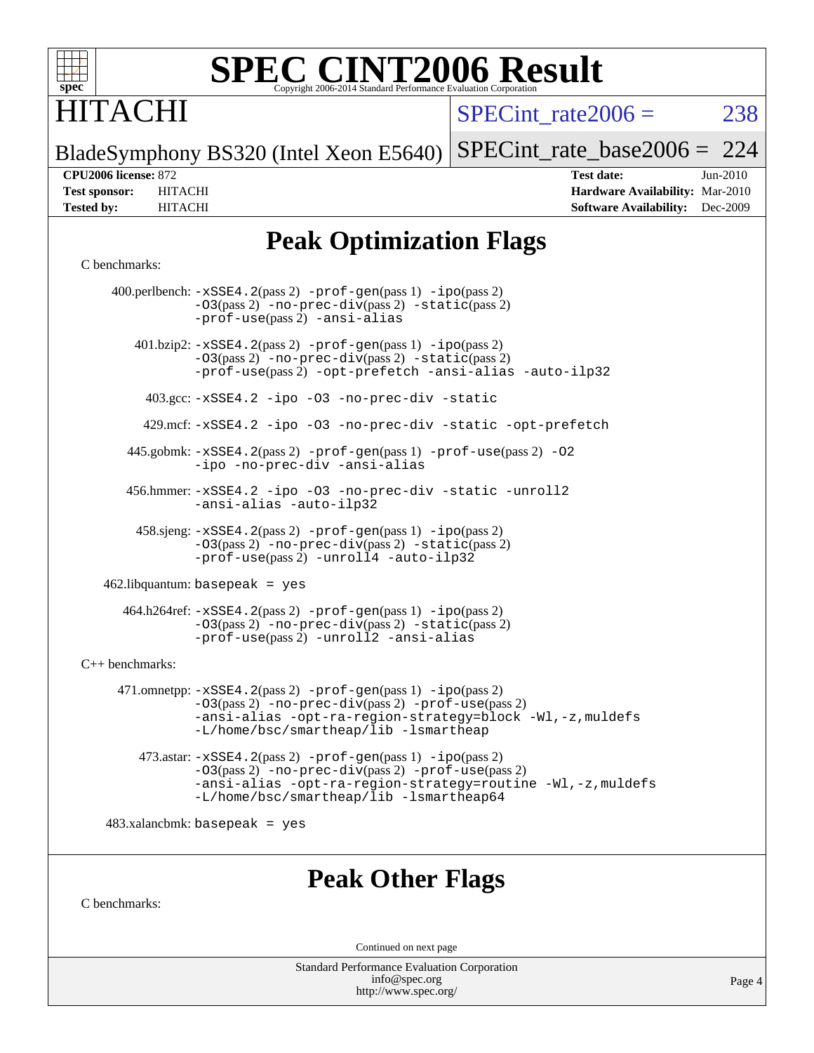

### **ITACHI**

SPECint rate $2006 = 238$ 

BladeSymphony BS320 (Intel Xeon E5640) [SPECint\\_rate\\_base2006 =](http://www.spec.org/auto/cpu2006/Docs/result-fields.html#SPECintratebase2006) 224

**[CPU2006 license:](http://www.spec.org/auto/cpu2006/Docs/result-fields.html#CPU2006license)** 872 **[Test date:](http://www.spec.org/auto/cpu2006/Docs/result-fields.html#Testdate)** Jun-2010 **[Test sponsor:](http://www.spec.org/auto/cpu2006/Docs/result-fields.html#Testsponsor)** HITACHI **[Hardware Availability:](http://www.spec.org/auto/cpu2006/Docs/result-fields.html#HardwareAvailability)** Mar-2010 **[Tested by:](http://www.spec.org/auto/cpu2006/Docs/result-fields.html#Testedby)** HITACHI **[Software Availability:](http://www.spec.org/auto/cpu2006/Docs/result-fields.html#SoftwareAvailability)** Dec-2009

### **[Peak Optimization Flags](http://www.spec.org/auto/cpu2006/Docs/result-fields.html#PeakOptimizationFlags)**

#### [C benchmarks](http://www.spec.org/auto/cpu2006/Docs/result-fields.html#Cbenchmarks):

 400.perlbench: [-xSSE4.2](http://www.spec.org/cpu2006/results/res2010q3/cpu2006-20100914-13308.flags.html#user_peakPASS2_CFLAGSPASS2_LDCFLAGS400_perlbench_f-xSSE42_f91528193cf0b216347adb8b939d4107)(pass 2) [-prof-gen](http://www.spec.org/cpu2006/results/res2010q3/cpu2006-20100914-13308.flags.html#user_peakPASS1_CFLAGSPASS1_LDCFLAGS400_perlbench_prof_gen_e43856698f6ca7b7e442dfd80e94a8fc)(pass 1) [-ipo](http://www.spec.org/cpu2006/results/res2010q3/cpu2006-20100914-13308.flags.html#user_peakPASS2_CFLAGSPASS2_LDCFLAGS400_perlbench_f-ipo)(pass 2) [-O3](http://www.spec.org/cpu2006/results/res2010q3/cpu2006-20100914-13308.flags.html#user_peakPASS2_CFLAGSPASS2_LDCFLAGS400_perlbench_f-O3)(pass 2) [-no-prec-div](http://www.spec.org/cpu2006/results/res2010q3/cpu2006-20100914-13308.flags.html#user_peakPASS2_CFLAGSPASS2_LDCFLAGS400_perlbench_f-no-prec-div)(pass 2) [-static](http://www.spec.org/cpu2006/results/res2010q3/cpu2006-20100914-13308.flags.html#user_peakPASS2_CFLAGSPASS2_LDCFLAGS400_perlbench_f-static)(pass 2) [-prof-use](http://www.spec.org/cpu2006/results/res2010q3/cpu2006-20100914-13308.flags.html#user_peakPASS2_CFLAGSPASS2_LDCFLAGS400_perlbench_prof_use_bccf7792157ff70d64e32fe3e1250b55)(pass 2) [-ansi-alias](http://www.spec.org/cpu2006/results/res2010q3/cpu2006-20100914-13308.flags.html#user_peakCOPTIMIZE400_perlbench_f-ansi-alias) 401.bzip2: [-xSSE4.2](http://www.spec.org/cpu2006/results/res2010q3/cpu2006-20100914-13308.flags.html#user_peakPASS2_CFLAGSPASS2_LDCFLAGS401_bzip2_f-xSSE42_f91528193cf0b216347adb8b939d4107)(pass 2) [-prof-gen](http://www.spec.org/cpu2006/results/res2010q3/cpu2006-20100914-13308.flags.html#user_peakPASS1_CFLAGSPASS1_LDCFLAGS401_bzip2_prof_gen_e43856698f6ca7b7e442dfd80e94a8fc)(pass 1) [-ipo](http://www.spec.org/cpu2006/results/res2010q3/cpu2006-20100914-13308.flags.html#user_peakPASS2_CFLAGSPASS2_LDCFLAGS401_bzip2_f-ipo)(pass 2) [-O3](http://www.spec.org/cpu2006/results/res2010q3/cpu2006-20100914-13308.flags.html#user_peakPASS2_CFLAGSPASS2_LDCFLAGS401_bzip2_f-O3)(pass 2) [-no-prec-div](http://www.spec.org/cpu2006/results/res2010q3/cpu2006-20100914-13308.flags.html#user_peakPASS2_CFLAGSPASS2_LDCFLAGS401_bzip2_f-no-prec-div)(pass 2) [-static](http://www.spec.org/cpu2006/results/res2010q3/cpu2006-20100914-13308.flags.html#user_peakPASS2_CFLAGSPASS2_LDCFLAGS401_bzip2_f-static)(pass 2) [-prof-use](http://www.spec.org/cpu2006/results/res2010q3/cpu2006-20100914-13308.flags.html#user_peakPASS2_CFLAGSPASS2_LDCFLAGS401_bzip2_prof_use_bccf7792157ff70d64e32fe3e1250b55)(pass 2) [-opt-prefetch](http://www.spec.org/cpu2006/results/res2010q3/cpu2006-20100914-13308.flags.html#user_peakCOPTIMIZE401_bzip2_f-opt-prefetch) [-ansi-alias](http://www.spec.org/cpu2006/results/res2010q3/cpu2006-20100914-13308.flags.html#user_peakCOPTIMIZE401_bzip2_f-ansi-alias) [-auto-ilp32](http://www.spec.org/cpu2006/results/res2010q3/cpu2006-20100914-13308.flags.html#user_peakCOPTIMIZE401_bzip2_f-auto-ilp32) 403.gcc: [-xSSE4.2](http://www.spec.org/cpu2006/results/res2010q3/cpu2006-20100914-13308.flags.html#user_peakCOPTIMIZE403_gcc_f-xSSE42_f91528193cf0b216347adb8b939d4107) [-ipo](http://www.spec.org/cpu2006/results/res2010q3/cpu2006-20100914-13308.flags.html#user_peakCOPTIMIZE403_gcc_f-ipo) [-O3](http://www.spec.org/cpu2006/results/res2010q3/cpu2006-20100914-13308.flags.html#user_peakCOPTIMIZE403_gcc_f-O3) [-no-prec-div](http://www.spec.org/cpu2006/results/res2010q3/cpu2006-20100914-13308.flags.html#user_peakCOPTIMIZE403_gcc_f-no-prec-div) [-static](http://www.spec.org/cpu2006/results/res2010q3/cpu2006-20100914-13308.flags.html#user_peakCOPTIMIZE403_gcc_f-static) 429.mcf: [-xSSE4.2](http://www.spec.org/cpu2006/results/res2010q3/cpu2006-20100914-13308.flags.html#user_peakCOPTIMIZE429_mcf_f-xSSE42_f91528193cf0b216347adb8b939d4107) [-ipo](http://www.spec.org/cpu2006/results/res2010q3/cpu2006-20100914-13308.flags.html#user_peakCOPTIMIZE429_mcf_f-ipo) [-O3](http://www.spec.org/cpu2006/results/res2010q3/cpu2006-20100914-13308.flags.html#user_peakCOPTIMIZE429_mcf_f-O3) [-no-prec-div](http://www.spec.org/cpu2006/results/res2010q3/cpu2006-20100914-13308.flags.html#user_peakCOPTIMIZE429_mcf_f-no-prec-div) [-static](http://www.spec.org/cpu2006/results/res2010q3/cpu2006-20100914-13308.flags.html#user_peakCOPTIMIZE429_mcf_f-static) [-opt-prefetch](http://www.spec.org/cpu2006/results/res2010q3/cpu2006-20100914-13308.flags.html#user_peakCOPTIMIZE429_mcf_f-opt-prefetch) 445.gobmk: [-xSSE4.2](http://www.spec.org/cpu2006/results/res2010q3/cpu2006-20100914-13308.flags.html#user_peakPASS2_CFLAGSPASS2_LDCFLAGS445_gobmk_f-xSSE42_f91528193cf0b216347adb8b939d4107)(pass 2) [-prof-gen](http://www.spec.org/cpu2006/results/res2010q3/cpu2006-20100914-13308.flags.html#user_peakPASS1_CFLAGSPASS1_LDCFLAGS445_gobmk_prof_gen_e43856698f6ca7b7e442dfd80e94a8fc)(pass 1) [-prof-use](http://www.spec.org/cpu2006/results/res2010q3/cpu2006-20100914-13308.flags.html#user_peakPASS2_CFLAGSPASS2_LDCFLAGS445_gobmk_prof_use_bccf7792157ff70d64e32fe3e1250b55)(pass 2) [-O2](http://www.spec.org/cpu2006/results/res2010q3/cpu2006-20100914-13308.flags.html#user_peakCOPTIMIZE445_gobmk_f-O2) [-ipo](http://www.spec.org/cpu2006/results/res2010q3/cpu2006-20100914-13308.flags.html#user_peakCOPTIMIZE445_gobmk_f-ipo) [-no-prec-div](http://www.spec.org/cpu2006/results/res2010q3/cpu2006-20100914-13308.flags.html#user_peakCOPTIMIZE445_gobmk_f-no-prec-div) [-ansi-alias](http://www.spec.org/cpu2006/results/res2010q3/cpu2006-20100914-13308.flags.html#user_peakCOPTIMIZE445_gobmk_f-ansi-alias) 456.hmmer: [-xSSE4.2](http://www.spec.org/cpu2006/results/res2010q3/cpu2006-20100914-13308.flags.html#user_peakCOPTIMIZE456_hmmer_f-xSSE42_f91528193cf0b216347adb8b939d4107) [-ipo](http://www.spec.org/cpu2006/results/res2010q3/cpu2006-20100914-13308.flags.html#user_peakCOPTIMIZE456_hmmer_f-ipo) [-O3](http://www.spec.org/cpu2006/results/res2010q3/cpu2006-20100914-13308.flags.html#user_peakCOPTIMIZE456_hmmer_f-O3) [-no-prec-div](http://www.spec.org/cpu2006/results/res2010q3/cpu2006-20100914-13308.flags.html#user_peakCOPTIMIZE456_hmmer_f-no-prec-div) [-static](http://www.spec.org/cpu2006/results/res2010q3/cpu2006-20100914-13308.flags.html#user_peakCOPTIMIZE456_hmmer_f-static) [-unroll2](http://www.spec.org/cpu2006/results/res2010q3/cpu2006-20100914-13308.flags.html#user_peakCOPTIMIZE456_hmmer_f-unroll_784dae83bebfb236979b41d2422d7ec2) [-ansi-alias](http://www.spec.org/cpu2006/results/res2010q3/cpu2006-20100914-13308.flags.html#user_peakCOPTIMIZE456_hmmer_f-ansi-alias) [-auto-ilp32](http://www.spec.org/cpu2006/results/res2010q3/cpu2006-20100914-13308.flags.html#user_peakCOPTIMIZE456_hmmer_f-auto-ilp32) 458.sjeng: [-xSSE4.2](http://www.spec.org/cpu2006/results/res2010q3/cpu2006-20100914-13308.flags.html#user_peakPASS2_CFLAGSPASS2_LDCFLAGS458_sjeng_f-xSSE42_f91528193cf0b216347adb8b939d4107)(pass 2) [-prof-gen](http://www.spec.org/cpu2006/results/res2010q3/cpu2006-20100914-13308.flags.html#user_peakPASS1_CFLAGSPASS1_LDCFLAGS458_sjeng_prof_gen_e43856698f6ca7b7e442dfd80e94a8fc)(pass 1) [-ipo](http://www.spec.org/cpu2006/results/res2010q3/cpu2006-20100914-13308.flags.html#user_peakPASS2_CFLAGSPASS2_LDCFLAGS458_sjeng_f-ipo)(pass 2) [-O3](http://www.spec.org/cpu2006/results/res2010q3/cpu2006-20100914-13308.flags.html#user_peakPASS2_CFLAGSPASS2_LDCFLAGS458_sjeng_f-O3)(pass 2) [-no-prec-div](http://www.spec.org/cpu2006/results/res2010q3/cpu2006-20100914-13308.flags.html#user_peakPASS2_CFLAGSPASS2_LDCFLAGS458_sjeng_f-no-prec-div)(pass 2) [-static](http://www.spec.org/cpu2006/results/res2010q3/cpu2006-20100914-13308.flags.html#user_peakPASS2_CFLAGSPASS2_LDCFLAGS458_sjeng_f-static)(pass 2) [-prof-use](http://www.spec.org/cpu2006/results/res2010q3/cpu2006-20100914-13308.flags.html#user_peakPASS2_CFLAGSPASS2_LDCFLAGS458_sjeng_prof_use_bccf7792157ff70d64e32fe3e1250b55)(pass 2) [-unroll4](http://www.spec.org/cpu2006/results/res2010q3/cpu2006-20100914-13308.flags.html#user_peakCOPTIMIZE458_sjeng_f-unroll_4e5e4ed65b7fd20bdcd365bec371b81f) [-auto-ilp32](http://www.spec.org/cpu2006/results/res2010q3/cpu2006-20100914-13308.flags.html#user_peakCOPTIMIZE458_sjeng_f-auto-ilp32)  $462$ .libquantum: basepeak = yes 464.h264ref: [-xSSE4.2](http://www.spec.org/cpu2006/results/res2010q3/cpu2006-20100914-13308.flags.html#user_peakPASS2_CFLAGSPASS2_LDCFLAGS464_h264ref_f-xSSE42_f91528193cf0b216347adb8b939d4107)(pass 2) [-prof-gen](http://www.spec.org/cpu2006/results/res2010q3/cpu2006-20100914-13308.flags.html#user_peakPASS1_CFLAGSPASS1_LDCFLAGS464_h264ref_prof_gen_e43856698f6ca7b7e442dfd80e94a8fc)(pass 1) [-ipo](http://www.spec.org/cpu2006/results/res2010q3/cpu2006-20100914-13308.flags.html#user_peakPASS2_CFLAGSPASS2_LDCFLAGS464_h264ref_f-ipo)(pass 2) [-O3](http://www.spec.org/cpu2006/results/res2010q3/cpu2006-20100914-13308.flags.html#user_peakPASS2_CFLAGSPASS2_LDCFLAGS464_h264ref_f-O3)(pass 2) [-no-prec-div](http://www.spec.org/cpu2006/results/res2010q3/cpu2006-20100914-13308.flags.html#user_peakPASS2_CFLAGSPASS2_LDCFLAGS464_h264ref_f-no-prec-div)(pass 2) [-static](http://www.spec.org/cpu2006/results/res2010q3/cpu2006-20100914-13308.flags.html#user_peakPASS2_CFLAGSPASS2_LDCFLAGS464_h264ref_f-static)(pass 2) [-prof-use](http://www.spec.org/cpu2006/results/res2010q3/cpu2006-20100914-13308.flags.html#user_peakPASS2_CFLAGSPASS2_LDCFLAGS464_h264ref_prof_use_bccf7792157ff70d64e32fe3e1250b55)(pass 2) [-unroll2](http://www.spec.org/cpu2006/results/res2010q3/cpu2006-20100914-13308.flags.html#user_peakCOPTIMIZE464_h264ref_f-unroll_784dae83bebfb236979b41d2422d7ec2) [-ansi-alias](http://www.spec.org/cpu2006/results/res2010q3/cpu2006-20100914-13308.flags.html#user_peakCOPTIMIZE464_h264ref_f-ansi-alias) [C++ benchmarks:](http://www.spec.org/auto/cpu2006/Docs/result-fields.html#CXXbenchmarks) 471.omnetpp: [-xSSE4.2](http://www.spec.org/cpu2006/results/res2010q3/cpu2006-20100914-13308.flags.html#user_peakPASS2_CXXFLAGSPASS2_LDCXXFLAGS471_omnetpp_f-xSSE42_f91528193cf0b216347adb8b939d4107)(pass 2) [-prof-gen](http://www.spec.org/cpu2006/results/res2010q3/cpu2006-20100914-13308.flags.html#user_peakPASS1_CXXFLAGSPASS1_LDCXXFLAGS471_omnetpp_prof_gen_e43856698f6ca7b7e442dfd80e94a8fc)(pass 1) [-ipo](http://www.spec.org/cpu2006/results/res2010q3/cpu2006-20100914-13308.flags.html#user_peakPASS2_CXXFLAGSPASS2_LDCXXFLAGS471_omnetpp_f-ipo)(pass 2) [-O3](http://www.spec.org/cpu2006/results/res2010q3/cpu2006-20100914-13308.flags.html#user_peakPASS2_CXXFLAGSPASS2_LDCXXFLAGS471_omnetpp_f-O3)(pass 2) [-no-prec-div](http://www.spec.org/cpu2006/results/res2010q3/cpu2006-20100914-13308.flags.html#user_peakPASS2_CXXFLAGSPASS2_LDCXXFLAGS471_omnetpp_f-no-prec-div)(pass 2) [-prof-use](http://www.spec.org/cpu2006/results/res2010q3/cpu2006-20100914-13308.flags.html#user_peakPASS2_CXXFLAGSPASS2_LDCXXFLAGS471_omnetpp_prof_use_bccf7792157ff70d64e32fe3e1250b55)(pass 2) [-ansi-alias](http://www.spec.org/cpu2006/results/res2010q3/cpu2006-20100914-13308.flags.html#user_peakCXXOPTIMIZE471_omnetpp_f-ansi-alias) [-opt-ra-region-strategy=block](http://www.spec.org/cpu2006/results/res2010q3/cpu2006-20100914-13308.flags.html#user_peakCXXOPTIMIZE471_omnetpp_f-opt-ra-region-strategy-block_a0a37c372d03933b2a18d4af463c1f69) [-Wl,-z,muldefs](http://www.spec.org/cpu2006/results/res2010q3/cpu2006-20100914-13308.flags.html#user_peakEXTRA_LDFLAGS471_omnetpp_link_force_multiple1_74079c344b956b9658436fd1b6dd3a8a) [-L/home/bsc/smartheap/lib -lsmartheap](http://www.spec.org/cpu2006/results/res2010q3/cpu2006-20100914-13308.flags.html#user_peakEXTRA_LIBS471_omnetpp_SmartHeap_9f0954739f7704b2e81d8beae675b87f) 473.astar: [-xSSE4.2](http://www.spec.org/cpu2006/results/res2010q3/cpu2006-20100914-13308.flags.html#user_peakPASS2_CXXFLAGSPASS2_LDCXXFLAGS473_astar_f-xSSE42_f91528193cf0b216347adb8b939d4107)(pass 2) [-prof-gen](http://www.spec.org/cpu2006/results/res2010q3/cpu2006-20100914-13308.flags.html#user_peakPASS1_CXXFLAGSPASS1_LDCXXFLAGS473_astar_prof_gen_e43856698f6ca7b7e442dfd80e94a8fc)(pass 1) [-ipo](http://www.spec.org/cpu2006/results/res2010q3/cpu2006-20100914-13308.flags.html#user_peakPASS2_CXXFLAGSPASS2_LDCXXFLAGS473_astar_f-ipo)(pass 2) [-O3](http://www.spec.org/cpu2006/results/res2010q3/cpu2006-20100914-13308.flags.html#user_peakPASS2_CXXFLAGSPASS2_LDCXXFLAGS473_astar_f-O3)(pass 2) [-no-prec-div](http://www.spec.org/cpu2006/results/res2010q3/cpu2006-20100914-13308.flags.html#user_peakPASS2_CXXFLAGSPASS2_LDCXXFLAGS473_astar_f-no-prec-div)(pass 2) [-prof-use](http://www.spec.org/cpu2006/results/res2010q3/cpu2006-20100914-13308.flags.html#user_peakPASS2_CXXFLAGSPASS2_LDCXXFLAGS473_astar_prof_use_bccf7792157ff70d64e32fe3e1250b55)(pass 2) [-ansi-alias](http://www.spec.org/cpu2006/results/res2010q3/cpu2006-20100914-13308.flags.html#user_peakCXXOPTIMIZE473_astar_f-ansi-alias) [-opt-ra-region-strategy=routine](http://www.spec.org/cpu2006/results/res2010q3/cpu2006-20100914-13308.flags.html#user_peakCXXOPTIMIZE473_astar_f-opt-ra-region-strategy-routine_ba086ea3b1d46a52e1238e2ca173ed44) [-Wl,-z,muldefs](http://www.spec.org/cpu2006/results/res2010q3/cpu2006-20100914-13308.flags.html#user_peakEXTRA_LDFLAGS473_astar_link_force_multiple1_74079c344b956b9658436fd1b6dd3a8a) [-L/home/bsc/smartheap/lib -lsmartheap64](http://www.spec.org/cpu2006/results/res2010q3/cpu2006-20100914-13308.flags.html#user_peakEXTRA_LIBS473_astar_SmartHeap64_555180d2893e2417989e4f28f72c507f)  $483.xalanchmk: basepeak = yes$ 

#### **[Peak Other Flags](http://www.spec.org/auto/cpu2006/Docs/result-fields.html#PeakOtherFlags)**

[C benchmarks](http://www.spec.org/auto/cpu2006/Docs/result-fields.html#Cbenchmarks):

Continued on next page

Standard Performance Evaluation Corporation [info@spec.org](mailto:info@spec.org) <http://www.spec.org/>